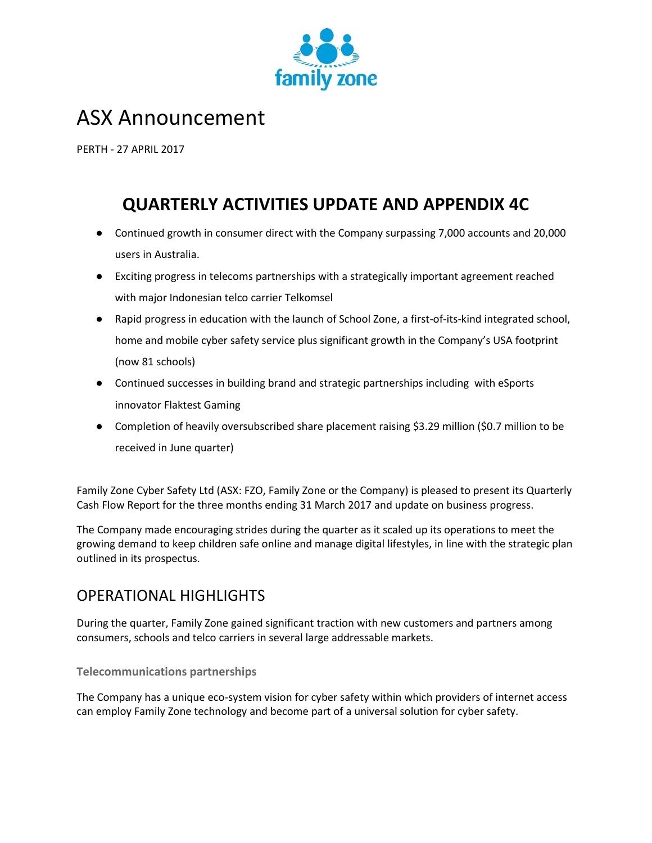

# ASX Announcement

PERTH - 27 APRIL 2017

# **QUARTERLY ACTIVITIES UPDATE AND APPENDIX 4C**

- Continued growth in consumer direct with the Company surpassing 7,000 accounts and 20,000 users in Australia.
- Exciting progress in telecoms partnerships with a strategically important agreement reached with major Indonesian telco carrier Telkomsel
- Rapid progress in education with the launch of School Zone, a first-of-its-kind integrated school, home and mobile cyber safety service plus significant growth in the Company's USA footprint (now 81 schools)
- Continued successes in building brand and strategic partnerships including with eSports innovator Flaktest Gaming
- Completion of heavily oversubscribed share placement raising \$3.29 million (\$0.7 million to be received in June quarter)

Family Zone Cyber Safety Ltd (ASX: FZO, Family Zone or the Company) is pleased to present its Quarterly Cash Flow Report for the three months ending 31 March 2017 and update on business progress.

The Company made encouraging strides during the quarter as it scaled up its operations to meet the growing demand to keep children safe online and manage digital lifestyles, in line with the strategic plan outlined in its prospectus.

## OPERATIONAL HIGHLIGHTS

During the quarter, Family Zone gained significant traction with new customers and partners among consumers, schools and telco carriers in several large addressable markets.

## **Telecommunications partnerships**

The Company has a unique eco-system vision for cyber safety within which providers of internet access can employ Family Zone technology and become part of a universal solution for cyber safety.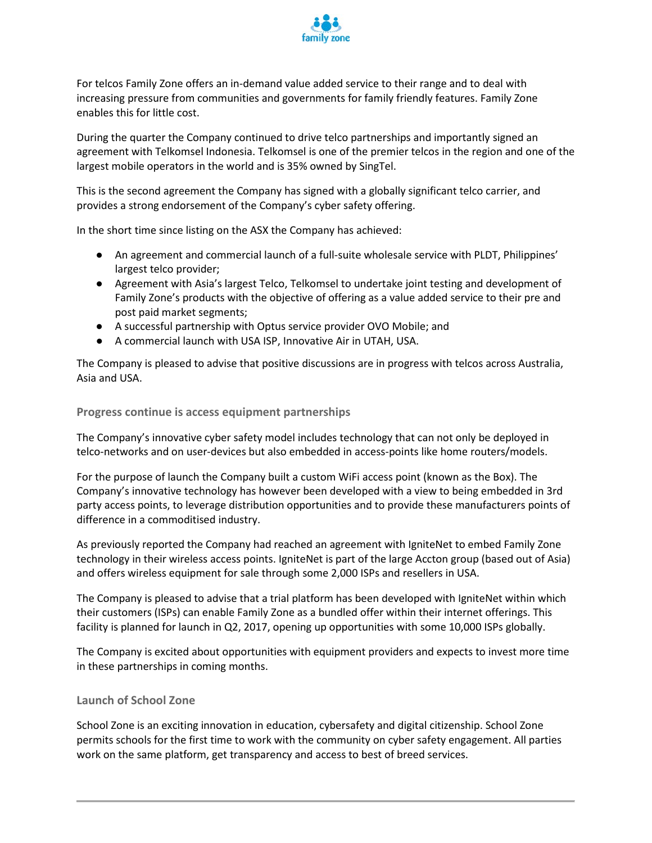

For telcos Family Zone offers an in-demand value added service to their range and to deal with increasing pressure from communities and governments for family friendly features. Family Zone enables this for little cost.

During the quarter the Company continued to drive telco partnerships and importantly signed an agreement with Telkomsel Indonesia. Telkomsel is one of the premier telcos in the region and one of the largest mobile operators in the world and is 35% owned by SingTel.

This is the second agreement the Company has signed with a globally significant telco carrier, and provides a strong endorsement of the Company's cyber safety offering.

In the short time since listing on the ASX the Company has achieved:

- An agreement and commercial launch of a full-suite wholesale service with PLDT, Philippines' largest telco provider;
- Agreement with Asia's largest Telco, Telkomsel to undertake joint testing and development of Family Zone's products with the objective of offering as a value added service to their pre and post paid market segments;
- A successful partnership with Optus service provider OVO Mobile; and
- A commercial launch with USA ISP, Innovative Air in UTAH, USA.

The Company is pleased to advise that positive discussions are in progress with telcos across Australia, Asia and USA.

**Progress continue is access equipment partnerships**

The Company's innovative cyber safety model includes technology that can not only be deployed in telco-networks and on user-devices but also embedded in access-points like home routers/models.

For the purpose of launch the Company built a custom WiFi access point (known as the Box). The Company's innovative technology has however been developed with a view to being embedded in 3rd party access points, to leverage distribution opportunities and to provide these manufacturers points of difference in a commoditised industry.

As previously reported the Company had reached an agreement with IgniteNet to embed Family Zone technology in their wireless access points. IgniteNet is part of the large Accton group (based out of Asia) and offers wireless equipment for sale through some 2,000 ISPs and resellers in USA.

The Company is pleased to advise that a trial platform has been developed with IgniteNet within which their customers (ISPs) can enable Family Zone as a bundled offer within their internet offerings. This facility is planned for launch in Q2, 2017, opening up opportunities with some 10,000 ISPs globally.

The Company is excited about opportunities with equipment providers and expects to invest more time in these partnerships in coming months.

## **Launch of School Zone**

School Zone is an exciting innovation in education, cybersafety and digital citizenship. School Zone permits schools for the first time to work with the community on cyber safety engagement. All parties work on the same platform, get transparency and access to best of breed services.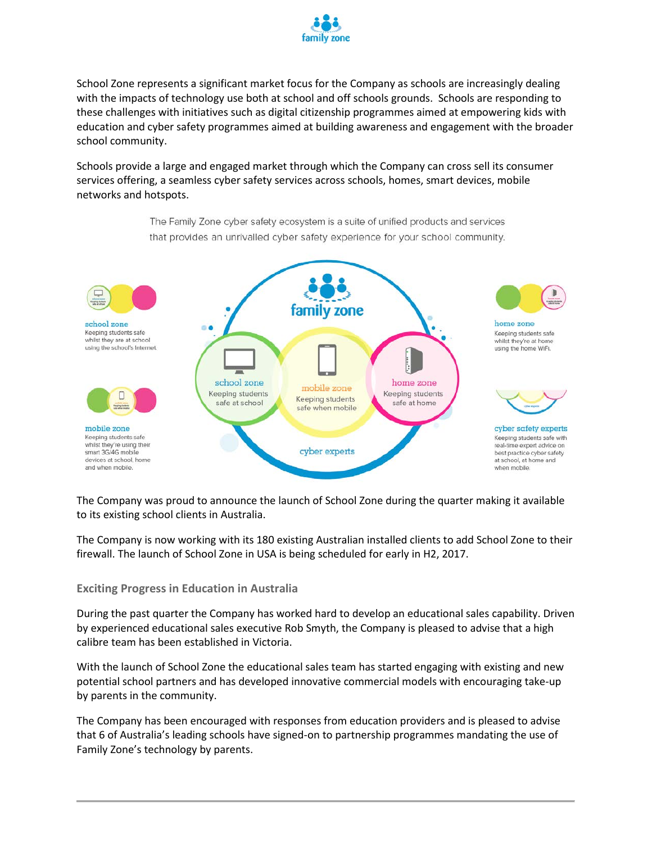

School Zone represents a significant market focus for the Company as schools are increasingly dealing with the impacts of technology use both at school and off schools grounds. Schools are responding to these challenges with initiatives such as digital citizenship programmes aimed at empowering kids with education and cyber safety programmes aimed at building awareness and engagement with the broader school community.

Schools provide a large and engaged market through which the Company can cross sell its consumer services offering, a seamless cyber safety services across schools, homes, smart devices, mobile networks and hotspots.

> The Family Zone cyber safety ecosystem is a suite of unified products and services that provides an unrivalled cyber safety experience for your school community.



The Company was proud to announce the launch of School Zone during the quarter making it available to its existing school clients in Australia.

The Company is now working with its 180 existing Australian installed clients to add School Zone to their firewall. The launch of School Zone in USA is being scheduled for early in H2, 2017.

#### **Exciting Progress in Education in Australia**

During the past quarter the Company has worked hard to develop an educational sales capability. Driven by experienced educational sales executive Rob Smyth, the Company is pleased to advise that a high calibre team has been established in Victoria.

With the launch of School Zone the educational sales team has started engaging with existing and new potential school partners and has developed innovative commercial models with encouraging take-up by parents in the community.

The Company has been encouraged with responses from education providers and is pleased to advise that 6 of Australia's leading schools have signed-on to partnership programmes mandating the use of Family Zone's technology by parents.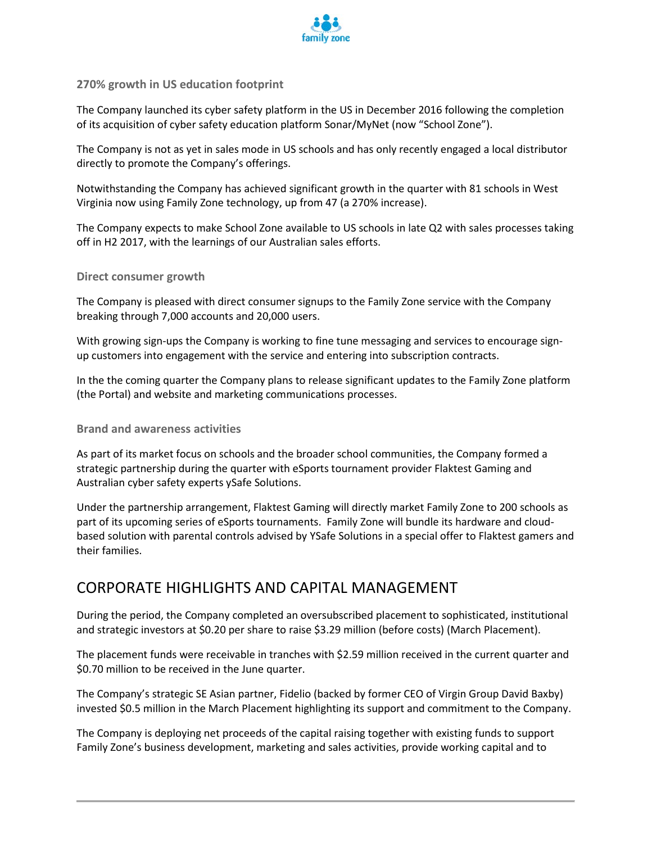

## **270% growth in US education footprint**

The Company launched its cyber safety platform in the US in December 2016 following the completion of its acquisition of cyber safety education platform Sonar/MyNet (now "School Zone").

The Company is not as yet in sales mode in US schools and has only recently engaged a local distributor directly to promote the Company's offerings.

Notwithstanding the Company has achieved significant growth in the quarter with 81 schools in West Virginia now using Family Zone technology, up from 47 (a 270% increase).

The Company expects to make School Zone available to US schools in late Q2 with sales processes taking off in H2 2017, with the learnings of our Australian sales efforts.

## **Direct consumer growth**

The Company is pleased with direct consumer signups to the Family Zone service with the Company breaking through 7,000 accounts and 20,000 users.

With growing sign-ups the Company is working to fine tune messaging and services to encourage signup customers into engagement with the service and entering into subscription contracts.

In the the coming quarter the Company plans to release significant updates to the Family Zone platform (the Portal) and website and marketing communications processes.

## **Brand and awareness activities**

As part of its market focus on schools and the broader school communities, the Company formed a strategic partnership during the quarter with eSports tournament provider Flaktest Gaming and Australian cyber safety experts ySafe Solutions.

Under the partnership arrangement, Flaktest Gaming will directly market Family Zone to 200 schools as part of its upcoming series of eSports tournaments. Family Zone will bundle its hardware and cloudbased solution with parental controls advised by YSafe Solutions in a special offer to Flaktest gamers and their families.

## CORPORATE HIGHLIGHTS AND CAPITAL MANAGEMENT

During the period, the Company completed an oversubscribed placement to sophisticated, institutional and strategic investors at \$0.20 per share to raise \$3.29 million (before costs) (March Placement).

The placement funds were receivable in tranches with \$2.59 million received in the current quarter and \$0.70 million to be received in the June quarter.

The Company's strategic SE Asian partner, Fidelio (backed by former CEO of Virgin Group David Baxby) invested \$0.5 million in the March Placement highlighting its support and commitment to the Company.

The Company is deploying net proceeds of the capital raising together with existing funds to support Family Zone's business development, marketing and sales activities, provide working capital and to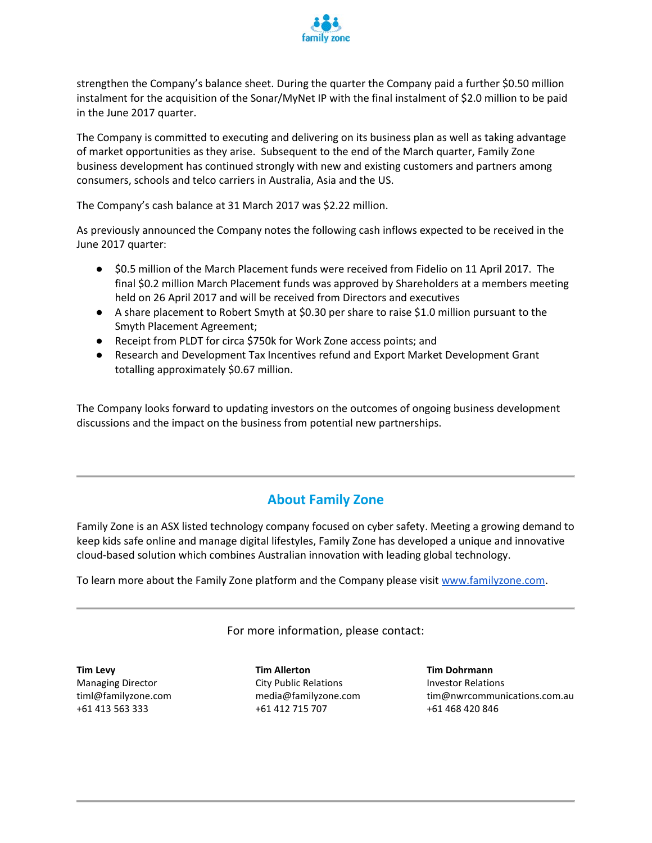

strengthen the Company's balance sheet. During the quarter the Company paid a further \$0.50 million instalment for the acquisition of the Sonar/MyNet IP with the final instalment of \$2.0 million to be paid in the June 2017 quarter.

The Company is committed to executing and delivering on its business plan as well as taking advantage of market opportunities as they arise. Subsequent to the end of the March quarter, Family Zone business development has continued strongly with new and existing customers and partners among consumers, schools and telco carriers in Australia, Asia and the US.

The Company's cash balance at 31 March 2017 was \$2.22 million.

As previously announced the Company notes the following cash inflows expected to be received in the June 2017 quarter:

- \$0.5 million of the March Placement funds were received from Fidelio on 11 April 2017. The final \$0.2 million March Placement funds was approved by Shareholders at a members meeting held on 26 April 2017 and will be received from Directors and executives
- A share placement to Robert Smyth at \$0.30 per share to raise \$1.0 million pursuant to the Smyth Placement Agreement;
- Receipt from PLDT for circa \$750k for Work Zone access points; and
- Research and Development Tax Incentives refund and Export Market Development Grant totalling approximately \$0.67 million.

The Company looks forward to updating investors on the outcomes of ongoing business development discussions and the impact on the business from potential new partnerships.

## **About Family Zone**

Family Zone is an ASX listed technology company focused on cyber safety. Meeting a growing demand to keep kids safe online and manage digital lifestyles, Family Zone has developed a unique and innovative cloud-based solution which combines Australian innovation with leading global technology.

To learn more about the Family Zone platform and the Company please visi[t www.familyzone.com.](http://www.familyzone.com/)

For more information, please contact:

**Tim Levy** Managing Director timl@familyzone.com +61 413 563 333

**Tim Allerton** City Public Relations media@familyzone.com +61 412 715 707

**Tim Dohrmann** Investor Relations tim@nwrcommunications.com.au +61 468 420 846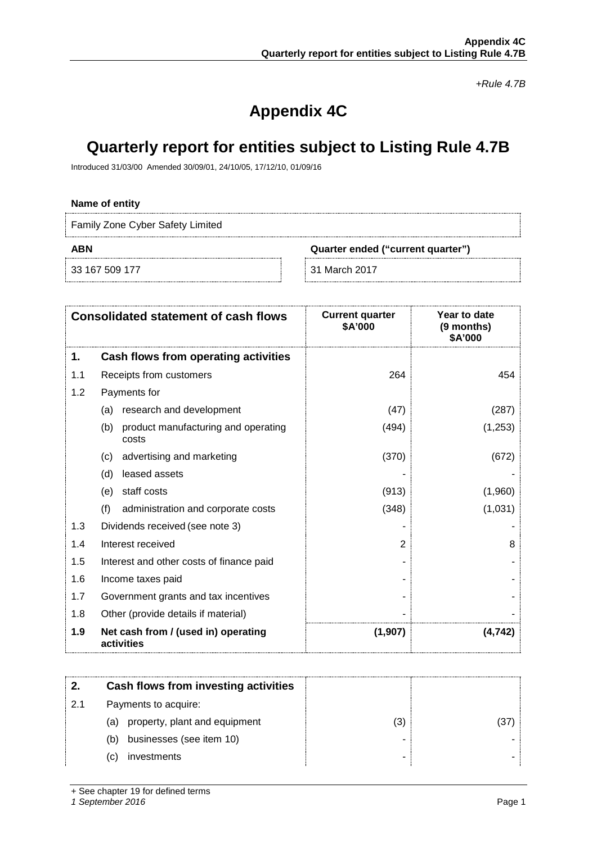*+Rule 4.7B*

# **Appendix 4C**

# **Quarterly report for entities subject to Listing Rule 4.7B**

Introduced 31/03/00 Amended 30/09/01, 24/10/05, 17/12/10, 01/09/16

## **Name of entity**

Family Zone Cyber Safety Limited

33 167 509 177 31 March 2017

**ABN Quarter ended ("current quarter")**

|     | <b>Consolidated statement of cash flows</b>         | <b>Current quarter</b><br>\$A'000 | Year to date<br>(9 months)<br>\$A'000 |
|-----|-----------------------------------------------------|-----------------------------------|---------------------------------------|
| 1.  | Cash flows from operating activities                |                                   |                                       |
| 1.1 | Receipts from customers                             | 264                               | 454                                   |
| 1.2 | Payments for                                        |                                   |                                       |
|     | research and development<br>(a)                     | (47)                              | (287)                                 |
|     | product manufacturing and operating<br>(b)<br>costs | (494)                             | (1,253)                               |
|     | advertising and marketing<br>(c)                    | (370)                             | (672)                                 |
|     | leased assets<br>(d)                                |                                   |                                       |
|     | staff costs<br>(e)                                  | (913)                             | (1,960)                               |
|     | (f)<br>administration and corporate costs           | (348)                             | (1,031)                               |
| 1.3 | Dividends received (see note 3)                     |                                   |                                       |
| 1.4 | Interest received                                   | 2                                 | 8                                     |
| 1.5 | Interest and other costs of finance paid            |                                   |                                       |
| 1.6 | Income taxes paid                                   |                                   |                                       |
| 1.7 | Government grants and tax incentives                |                                   |                                       |
| 1.8 | Other (provide details if material)                 |                                   |                                       |
| 1.9 | Net cash from / (used in) operating<br>activities   | (1,907)                           | (4, 742)                              |

|    | Cash flows from investing activities |    |  |
|----|--------------------------------------|----|--|
| 21 | Payments to acquire:                 |    |  |
|    | property, plant and equipment<br>(a) | د. |  |
|    | businesses (see item 10)<br>(b)      |    |  |
|    | investments<br>(C)                   |    |  |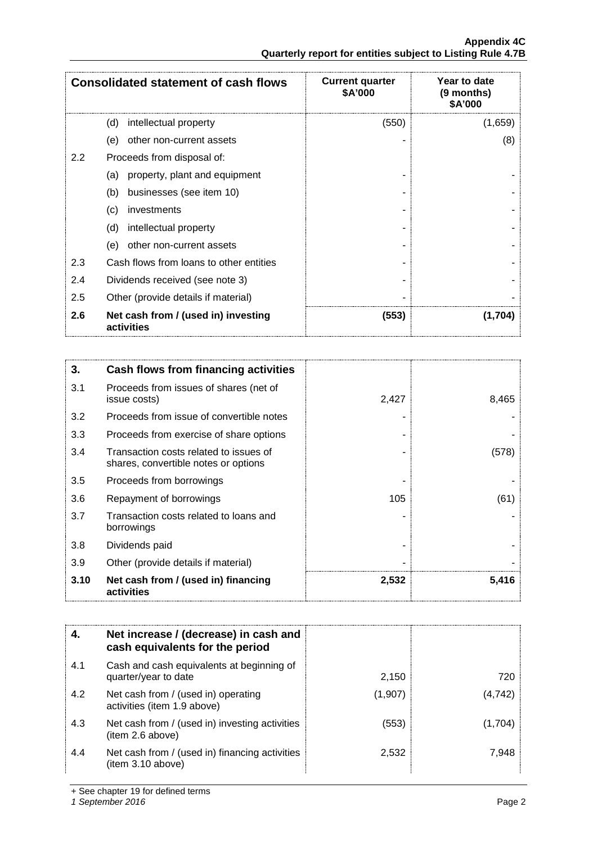**Appendix 4C Quarterly report for entities subject to Listing Rule 4.7B**

|     | <b>Consolidated statement of cash flows</b>       | <b>Current quarter</b><br>\$A'000 | Year to date<br>(9 months)<br>\$A'000 |
|-----|---------------------------------------------------|-----------------------------------|---------------------------------------|
|     | (d)<br>intellectual property                      | (550)                             | (1,659)                               |
|     | other non-current assets<br>(e)                   |                                   | (8)                                   |
| 2.2 | Proceeds from disposal of:                        |                                   |                                       |
|     | property, plant and equipment<br>(a)              |                                   |                                       |
|     | businesses (see item 10)<br>(b)                   |                                   |                                       |
|     | investments<br>(c)                                |                                   |                                       |
|     | (d)<br>intellectual property                      |                                   |                                       |
|     | other non-current assets<br>(e)                   |                                   |                                       |
| 2.3 | Cash flows from loans to other entities           |                                   |                                       |
| 2.4 | Dividends received (see note 3)                   |                                   |                                       |
| 2.5 | Other (provide details if material)               |                                   |                                       |
| 2.6 | Net cash from / (used in) investing<br>activities | (553)                             | (1,704)                               |

| 3.   | Cash flows from financing activities                                           |       |       |
|------|--------------------------------------------------------------------------------|-------|-------|
| 3.1  | Proceeds from issues of shares (net of<br>issue costs)                         | 2,427 | 8,465 |
| 3.2  | Proceeds from issue of convertible notes                                       |       |       |
| 3.3  | Proceeds from exercise of share options                                        |       |       |
| 3.4  | Transaction costs related to issues of<br>shares, convertible notes or options |       | (578) |
| 3.5  | Proceeds from borrowings                                                       |       |       |
| 3.6  | Repayment of borrowings                                                        | 105   | (61)  |
| 3.7  | Transaction costs related to loans and<br>borrowings                           |       |       |
| 3.8  | Dividends paid                                                                 |       |       |
| 3.9  | Other (provide details if material)                                            |       |       |
| 3.10 | Net cash from / (used in) financing<br>activities                              | 2,532 | 5,416 |

| 4.  | Net increase / (decrease) in cash and<br>cash equivalents for the period |         |         |
|-----|--------------------------------------------------------------------------|---------|---------|
| 4.1 | Cash and cash equivalents at beginning of<br>quarter/year to date        | 2,150   | 720     |
| 4.2 | Net cash from / (used in) operating<br>activities (item 1.9 above)       | (1,907) | (4,742) |
| 4.3 | Net cash from / (used in) investing activities<br>(item 2.6 above)       | (553)   | (1,704  |
| 4.4 | Net cash from / (used in) financing activities<br>(item 3.10 above)      | 2,532   | 7.948   |

+ See chapter 19 for defined terms

*1 September 2016* Page 2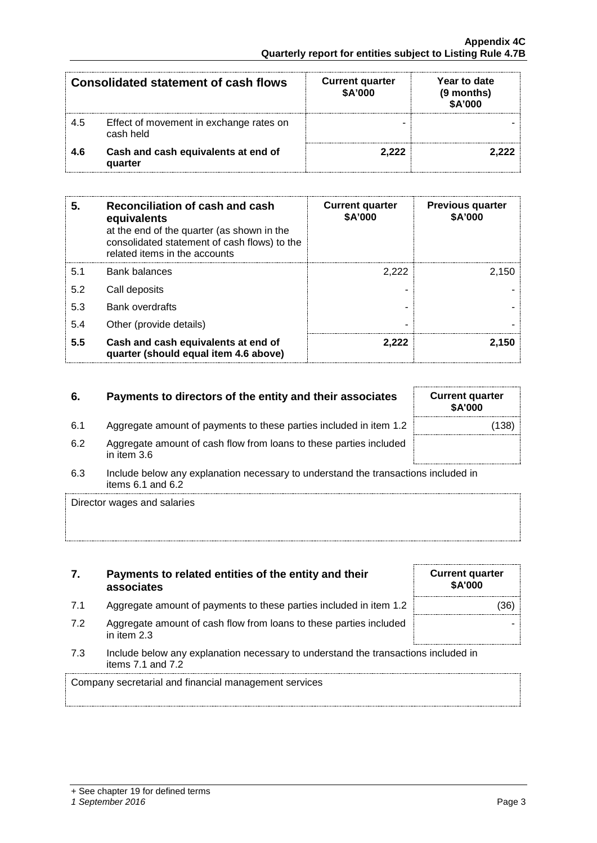|     | Consolidated statement of cash flows                 | <b>Current quarter</b><br>\$A'000 | Year to date<br>(9 months)<br>\$A'000 |
|-----|------------------------------------------------------|-----------------------------------|---------------------------------------|
| 4.5 | Effect of movement in exchange rates on<br>cash held |                                   |                                       |
| 4.6 | Cash and cash equivalents at end of<br>quarter       | 2.222                             |                                       |

| 5.  | Reconciliation of cash and cash<br>equivalents<br>at the end of the quarter (as shown in the<br>consolidated statement of cash flows) to the<br>related items in the accounts | <b>Current quarter</b><br>\$A'000 | <b>Previous quarter</b><br>\$A'000 |
|-----|-------------------------------------------------------------------------------------------------------------------------------------------------------------------------------|-----------------------------------|------------------------------------|
| 5.1 | <b>Bank balances</b>                                                                                                                                                          | 2.222                             | 2.150                              |
| 5.2 | Call deposits                                                                                                                                                                 |                                   |                                    |
| 5.3 | <b>Bank overdrafts</b>                                                                                                                                                        |                                   |                                    |
| 5.4 | Other (provide details)                                                                                                                                                       |                                   |                                    |
| 5.5 | Cash and cash equivalents at end of<br>quarter (should equal item 4.6 above)                                                                                                  | 2.222                             | 2.150                              |

## **6.** Payments to directors of the entity and their associates

- 6.1 Aggregate amount of payments to these parties included in item 1.2
- 6.2 Aggregate amount of cash flow from loans to these parties included in item 3.6
- 6.3 Include below any explanation necessary to understand the transactions included in items 6.1 and 6.2

Director wages and salaries

| 7. | Payments to related entities of the entity and their |
|----|------------------------------------------------------|
|    | associates                                           |

- 7.1 Aggregate amount of payments to these parties included in item 1.2
- 7.2 Aggregate amount of cash flow from loans to these parties included in item 2.3
- 7.3 Include below any explanation necessary to understand the transactions included in items 7.1 and 7.2

Company secretarial and financial management services

| <b>Current quarter</b><br>\$A'000 |  |
|-----------------------------------|--|
| (36)                              |  |
|                                   |  |

| <b>Current quarter</b><br><b>\$A'000</b> |       |
|------------------------------------------|-------|
|                                          | (138) |
|                                          |       |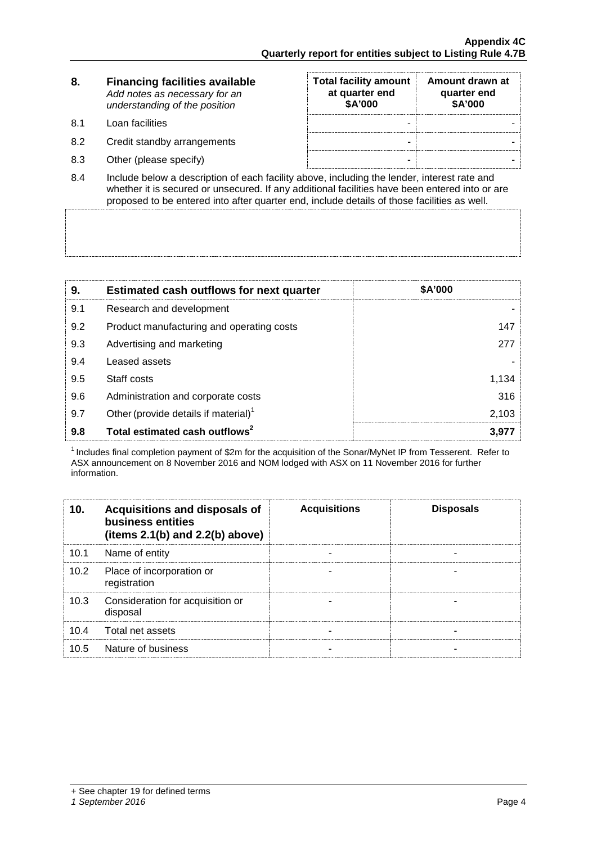| 8. | <b>Financing facilities available</b> |
|----|---------------------------------------|
|    | Add notes as necessary for an         |
|    | understanding of the position         |

- 8.1 Loan facilities
- 8.2 Credit standby arrangements
- 8.3 Other (please specify)

| <b>Total facility amount</b><br>at quarter end<br>\$A'000 | Amount drawn at<br>quarter end<br>\$A'000 |
|-----------------------------------------------------------|-------------------------------------------|
|                                                           |                                           |
|                                                           |                                           |
|                                                           |                                           |

8.4 Include below a description of each facility above, including the lender, interest rate and whether it is secured or unsecured. If any additional facilities have been entered into or are proposed to be entered into after quarter end, include details of those facilities as well.

| 9.  | <b>Estimated cash outflows for next quarter</b>  | <b>\$A'000</b> |
|-----|--------------------------------------------------|----------------|
| 9.1 | Research and development                         |                |
| 9.2 | Product manufacturing and operating costs        | 147            |
| 9.3 | Advertising and marketing                        | 277            |
| 9.4 | Leased assets                                    |                |
| 9.5 | Staff costs                                      | 1.134          |
| 9.6 | Administration and corporate costs               | 316            |
| 9.7 | Other (provide details if material) <sup>1</sup> | 2.103          |
| 9.8 | Total estimated cash outflows <sup>2</sup>       |                |

1 Includes final completion payment of \$2m for the acquisition of the Sonar/MyNet IP from Tesserent. Refer to ASX announcement on 8 November 2016 and NOM lodged with ASX on 11 November 2016 for further information.

|      | <b>Acquisitions and disposals of</b><br>business entities<br>(items $2.1(b)$ and $2.2(b)$ above) | <b>Acquisitions</b> | <b>Disposals</b> |
|------|--------------------------------------------------------------------------------------------------|---------------------|------------------|
| 10.1 | Name of entity                                                                                   |                     |                  |
| 10.2 | Place of incorporation or<br>registration                                                        |                     |                  |
| 10.3 | Consideration for acquisition or<br>disposal                                                     |                     |                  |
| 10.4 | Total net assets                                                                                 |                     |                  |
| 10.5 | Nature of business                                                                               |                     |                  |